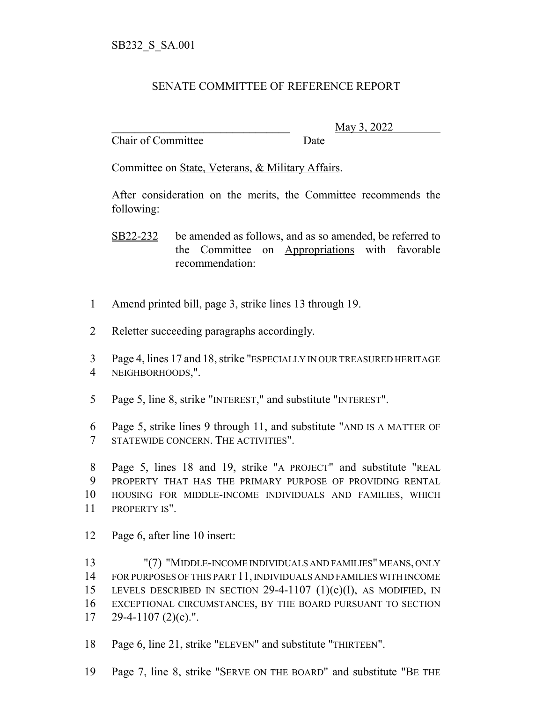## SENATE COMMITTEE OF REFERENCE REPORT

Chair of Committee Date

\_\_\_\_\_\_\_\_\_\_\_\_\_\_\_\_\_\_\_\_\_\_\_\_\_\_\_\_\_\_\_ May 3, 2022

Committee on State, Veterans, & Military Affairs.

After consideration on the merits, the Committee recommends the following:

SB22-232 be amended as follows, and as so amended, be referred to the Committee on Appropriations with favorable recommendation:

- 1 Amend printed bill, page 3, strike lines 13 through 19.
- 2 Reletter succeeding paragraphs accordingly.

3 Page 4, lines 17 and 18, strike "ESPECIALLY IN OUR TREASURED HERITAGE 4 NEIGHBORHOODS,".

5 Page 5, line 8, strike "INTEREST," and substitute "INTEREST".

6 Page 5, strike lines 9 through 11, and substitute "AND IS A MATTER OF 7 STATEWIDE CONCERN. THE ACTIVITIES".

 Page 5, lines 18 and 19, strike "A PROJECT" and substitute "REAL PROPERTY THAT HAS THE PRIMARY PURPOSE OF PROVIDING RENTAL HOUSING FOR MIDDLE-INCOME INDIVIDUALS AND FAMILIES, WHICH PROPERTY IS".

12 Page 6, after line 10 insert:

13 "(7) "MIDDLE-INCOME INDIVIDUALS AND FAMILIES" MEANS, ONLY 14 FOR PURPOSES OF THIS PART 11, INDIVIDUALS AND FAMILIES WITH INCOME 15 LEVELS DESCRIBED IN SECTION 29-4-1107  $(1)(c)(I)$ , AS MODIFIED, IN 16 EXCEPTIONAL CIRCUMSTANCES, BY THE BOARD PURSUANT TO SECTION 17 29-4-1107  $(2)(c)$ .".

18 Page 6, line 21, strike "ELEVEN" and substitute "THIRTEEN".

19 Page 7, line 8, strike "SERVE ON THE BOARD" and substitute "BE THE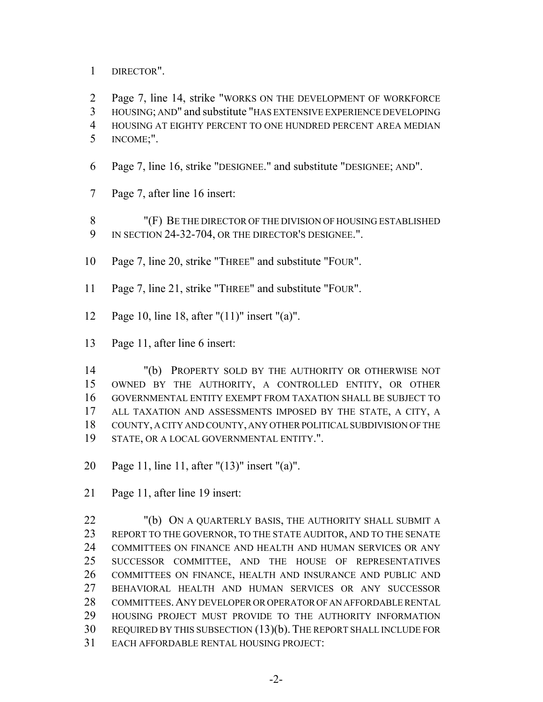DIRECTOR".

 Page 7, line 14, strike "WORKS ON THE DEVELOPMENT OF WORKFORCE HOUSING; AND" and substitute "HAS EXTENSIVE EXPERIENCE DEVELOPING HOUSING AT EIGHTY PERCENT TO ONE HUNDRED PERCENT AREA MEDIAN INCOME;".

Page 7, line 16, strike "DESIGNEE." and substitute "DESIGNEE; AND".

Page 7, after line 16 insert:

 "(F) BE THE DIRECTOR OF THE DIVISION OF HOUSING ESTABLISHED 9 IN SECTION 24-32-704, OR THE DIRECTOR'S DESIGNEE.".

- Page 7, line 20, strike "THREE" and substitute "FOUR".
- Page 7, line 21, strike "THREE" and substitute "FOUR".
- Page 10, line 18, after "(11)" insert "(a)".
- Page 11, after line 6 insert:

 "(b) PROPERTY SOLD BY THE AUTHORITY OR OTHERWISE NOT OWNED BY THE AUTHORITY, A CONTROLLED ENTITY, OR OTHER GOVERNMENTAL ENTITY EXEMPT FROM TAXATION SHALL BE SUBJECT TO ALL TAXATION AND ASSESSMENTS IMPOSED BY THE STATE, A CITY, A COUNTY, A CITY AND COUNTY, ANY OTHER POLITICAL SUBDIVISION OF THE STATE, OR A LOCAL GOVERNMENTAL ENTITY.".

- Page 11, line 11, after "(13)" insert "(a)".
- Page 11, after line 19 insert:

22 "(b) ON A QUARTERLY BASIS, THE AUTHORITY SHALL SUBMIT A 23 REPORT TO THE GOVERNOR, TO THE STATE AUDITOR, AND TO THE SENATE COMMITTEES ON FINANCE AND HEALTH AND HUMAN SERVICES OR ANY SUCCESSOR COMMITTEE, AND THE HOUSE OF REPRESENTATIVES COMMITTEES ON FINANCE, HEALTH AND INSURANCE AND PUBLIC AND BEHAVIORAL HEALTH AND HUMAN SERVICES OR ANY SUCCESSOR COMMITTEES.ANY DEVELOPER OR OPERATOR OF AN AFFORDABLE RENTAL HOUSING PROJECT MUST PROVIDE TO THE AUTHORITY INFORMATION REQUIRED BY THIS SUBSECTION (13)(b). THE REPORT SHALL INCLUDE FOR EACH AFFORDABLE RENTAL HOUSING PROJECT: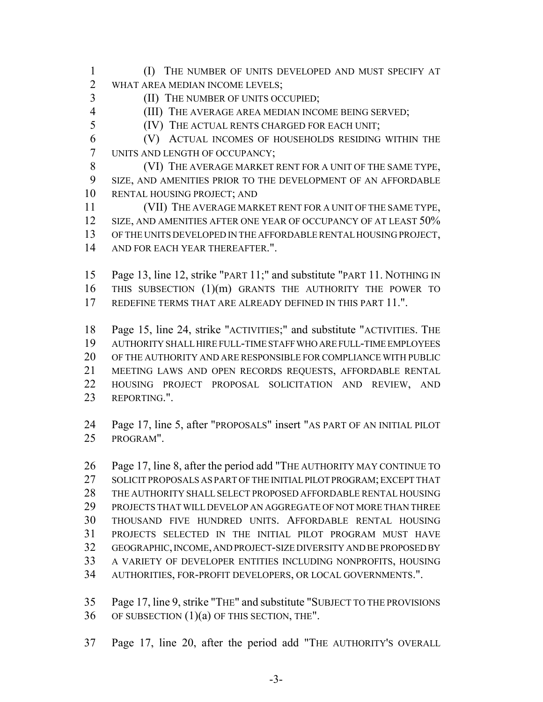- (I) THE NUMBER OF UNITS DEVELOPED AND MUST SPECIFY AT WHAT AREA MEDIAN INCOME LEVELS;
- (II) THE NUMBER OF UNITS OCCUPIED;
- (III) THE AVERAGE AREA MEDIAN INCOME BEING SERVED;
- (IV) THE ACTUAL RENTS CHARGED FOR EACH UNIT;
- (V) ACTUAL INCOMES OF HOUSEHOLDS RESIDING WITHIN THE UNITS AND LENGTH OF OCCUPANCY;
- (VI) THE AVERAGE MARKET RENT FOR A UNIT OF THE SAME TYPE, SIZE, AND AMENITIES PRIOR TO THE DEVELOPMENT OF AN AFFORDABLE RENTAL HOUSING PROJECT; AND

 (VII) THE AVERAGE MARKET RENT FOR A UNIT OF THE SAME TYPE, 12 SIZE, AND AMENITIES AFTER ONE YEAR OF OCCUPANCY OF AT LEAST  $50\%$  OF THE UNITS DEVELOPED IN THE AFFORDABLE RENTAL HOUSING PROJECT, AND FOR EACH YEAR THEREAFTER.".

- Page 13, line 12, strike "PART 11;" and substitute "PART 11. NOTHING IN THIS SUBSECTION (1)(m) GRANTS THE AUTHORITY THE POWER TO
- 17 REDEFINE TERMS THAT ARE ALREADY DEFINED IN THIS PART 11.".
- Page 15, line 24, strike "ACTIVITIES;" and substitute "ACTIVITIES. THE AUTHORITY SHALL HIRE FULL-TIME STAFF WHO ARE FULL-TIME EMPLOYEES OF THE AUTHORITY AND ARE RESPONSIBLE FOR COMPLIANCE WITH PUBLIC MEETING LAWS AND OPEN RECORDS REQUESTS, AFFORDABLE RENTAL HOUSING PROJECT PROPOSAL SOLICITATION AND REVIEW, AND REPORTING.".
- Page 17, line 5, after "PROPOSALS" insert "AS PART OF AN INITIAL PILOT PROGRAM".
- Page 17, line 8, after the period add "THE AUTHORITY MAY CONTINUE TO SOLICIT PROPOSALS AS PART OF THE INITIAL PILOT PROGRAM; EXCEPT THAT THE AUTHORITY SHALL SELECT PROPOSED AFFORDABLE RENTAL HOUSING PROJECTS THAT WILL DEVELOP AN AGGREGATE OF NOT MORE THAN THREE THOUSAND FIVE HUNDRED UNITS. AFFORDABLE RENTAL HOUSING PROJECTS SELECTED IN THE INITIAL PILOT PROGRAM MUST HAVE GEOGRAPHIC, INCOME, AND PROJECT-SIZE DIVERSITY AND BE PROPOSED BY A VARIETY OF DEVELOPER ENTITIES INCLUDING NONPROFITS, HOUSING AUTHORITIES, FOR-PROFIT DEVELOPERS, OR LOCAL GOVERNMENTS.".
- Page 17, line 9, strike "THE" and substitute "SUBJECT TO THE PROVISIONS OF SUBSECTION  $(1)(a)$  OF THIS SECTION, THE".
- Page 17, line 20, after the period add "THE AUTHORITY'S OVERALL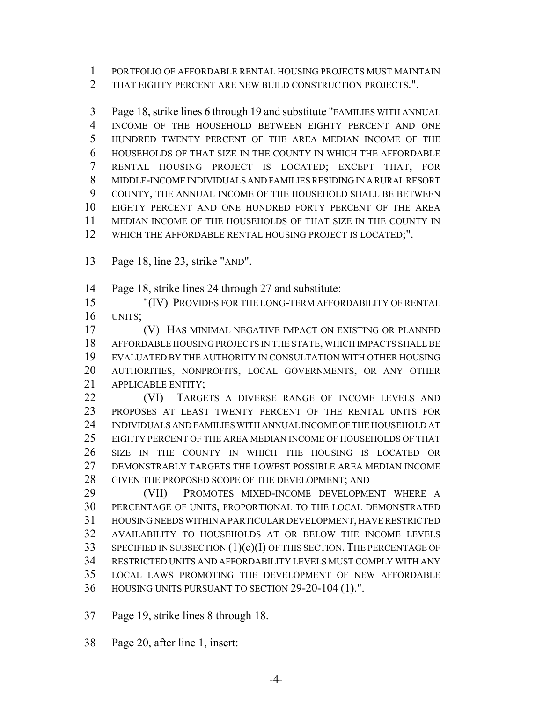PORTFOLIO OF AFFORDABLE RENTAL HOUSING PROJECTS MUST MAINTAIN

2 THAT EIGHTY PERCENT ARE NEW BUILD CONSTRUCTION PROJECTS.".

 Page 18, strike lines 6 through 19 and substitute "FAMILIES WITH ANNUAL INCOME OF THE HOUSEHOLD BETWEEN EIGHTY PERCENT AND ONE HUNDRED TWENTY PERCENT OF THE AREA MEDIAN INCOME OF THE HOUSEHOLDS OF THAT SIZE IN THE COUNTY IN WHICH THE AFFORDABLE RENTAL HOUSING PROJECT IS LOCATED; EXCEPT THAT, FOR MIDDLE-INCOME INDIVIDUALS AND FAMILIES RESIDING IN A RURAL RESORT COUNTY, THE ANNUAL INCOME OF THE HOUSEHOLD SHALL BE BETWEEN EIGHTY PERCENT AND ONE HUNDRED FORTY PERCENT OF THE AREA MEDIAN INCOME OF THE HOUSEHOLDS OF THAT SIZE IN THE COUNTY IN 12 WHICH THE AFFORDABLE RENTAL HOUSING PROJECT IS LOCATED;".

Page 18, line 23, strike "AND".

Page 18, strike lines 24 through 27 and substitute:

 "(IV) PROVIDES FOR THE LONG-TERM AFFORDABILITY OF RENTAL UNITS;

 (V) HAS MINIMAL NEGATIVE IMPACT ON EXISTING OR PLANNED AFFORDABLE HOUSING PROJECTS IN THE STATE, WHICH IMPACTS SHALL BE EVALUATED BY THE AUTHORITY IN CONSULTATION WITH OTHER HOUSING AUTHORITIES, NONPROFITS, LOCAL GOVERNMENTS, OR ANY OTHER APPLICABLE ENTITY;

 (VI) TARGETS A DIVERSE RANGE OF INCOME LEVELS AND PROPOSES AT LEAST TWENTY PERCENT OF THE RENTAL UNITS FOR INDIVIDUALS AND FAMILIES WITH ANNUAL INCOME OF THE HOUSEHOLD AT EIGHTY PERCENT OF THE AREA MEDIAN INCOME OF HOUSEHOLDS OF THAT SIZE IN THE COUNTY IN WHICH THE HOUSING IS LOCATED OR DEMONSTRABLY TARGETS THE LOWEST POSSIBLE AREA MEDIAN INCOME GIVEN THE PROPOSED SCOPE OF THE DEVELOPMENT; AND

 (VII) PROMOTES MIXED-INCOME DEVELOPMENT WHERE A PERCENTAGE OF UNITS, PROPORTIONAL TO THE LOCAL DEMONSTRATED HOUSING NEEDS WITHIN A PARTICULAR DEVELOPMENT, HAVE RESTRICTED AVAILABILITY TO HOUSEHOLDS AT OR BELOW THE INCOME LEVELS SPECIFIED IN SUBSECTION (1)(c)(I) OF THIS SECTION.THE PERCENTAGE OF RESTRICTED UNITS AND AFFORDABILITY LEVELS MUST COMPLY WITH ANY LOCAL LAWS PROMOTING THE DEVELOPMENT OF NEW AFFORDABLE HOUSING UNITS PURSUANT TO SECTION 29-20-104 (1).".

Page 19, strike lines 8 through 18.

Page 20, after line 1, insert: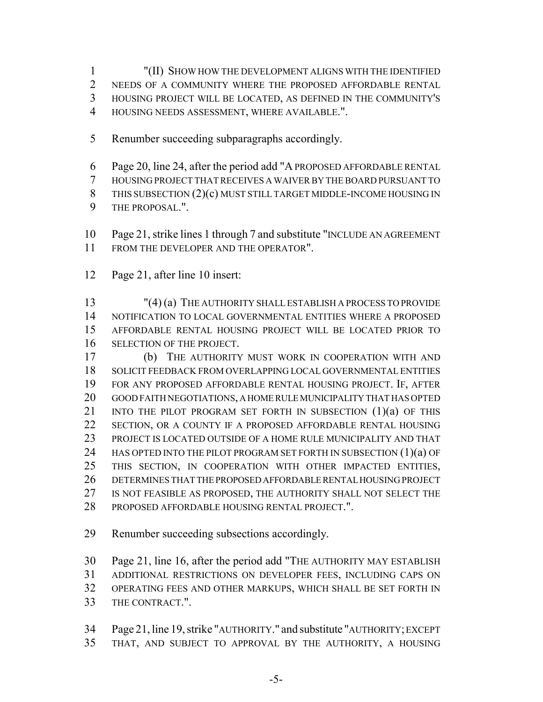"(II) SHOW HOW THE DEVELOPMENT ALIGNS WITH THE IDENTIFIED NEEDS OF A COMMUNITY WHERE THE PROPOSED AFFORDABLE RENTAL HOUSING PROJECT WILL BE LOCATED, AS DEFINED IN THE COMMUNITY'S HOUSING NEEDS ASSESSMENT, WHERE AVAILABLE.".

- Renumber succeeding subparagraphs accordingly.
- Page 20, line 24, after the period add "A PROPOSED AFFORDABLE RENTAL
- HOUSING PROJECT THAT RECEIVES A WAIVER BY THE BOARD PURSUANT TO
- 8 THIS SUBSECTION (2)(c) MUST STILL TARGET MIDDLE-INCOME HOUSING IN
- THE PROPOSAL.".
- Page 21, strike lines 1 through 7 and substitute "INCLUDE AN AGREEMENT FROM THE DEVELOPER AND THE OPERATOR".
- Page 21, after line 10 insert:

 "(4) (a) THE AUTHORITY SHALL ESTABLISH A PROCESS TO PROVIDE NOTIFICATION TO LOCAL GOVERNMENTAL ENTITIES WHERE A PROPOSED AFFORDABLE RENTAL HOUSING PROJECT WILL BE LOCATED PRIOR TO SELECTION OF THE PROJECT.

 (b) THE AUTHORITY MUST WORK IN COOPERATION WITH AND SOLICIT FEEDBACK FROM OVERLAPPING LOCAL GOVERNMENTAL ENTITIES FOR ANY PROPOSED AFFORDABLE RENTAL HOUSING PROJECT. IF, AFTER GOOD FAITH NEGOTIATIONS, A HOME RULE MUNICIPALITY THAT HAS OPTED 21 INTO THE PILOT PROGRAM SET FORTH IN SUBSECTION (1)(a) OF THIS SECTION, OR A COUNTY IF A PROPOSED AFFORDABLE RENTAL HOUSING PROJECT IS LOCATED OUTSIDE OF A HOME RULE MUNICIPALITY AND THAT 24 HAS OPTED INTO THE PILOT PROGRAM SET FORTH IN SUBSECTION (1)(a) OF THIS SECTION, IN COOPERATION WITH OTHER IMPACTED ENTITIES, DETERMINES THAT THE PROPOSED AFFORDABLE RENTAL HOUSING PROJECT IS NOT FEASIBLE AS PROPOSED, THE AUTHORITY SHALL NOT SELECT THE PROPOSED AFFORDABLE HOUSING RENTAL PROJECT.".

Renumber succeeding subsections accordingly.

 Page 21, line 16, after the period add "THE AUTHORITY MAY ESTABLISH ADDITIONAL RESTRICTIONS ON DEVELOPER FEES, INCLUDING CAPS ON OPERATING FEES AND OTHER MARKUPS, WHICH SHALL BE SET FORTH IN THE CONTRACT.".

Page 21, line 19, strike "AUTHORITY." and substitute "AUTHORITY; EXCEPT

THAT, AND SUBJECT TO APPROVAL BY THE AUTHORITY, A HOUSING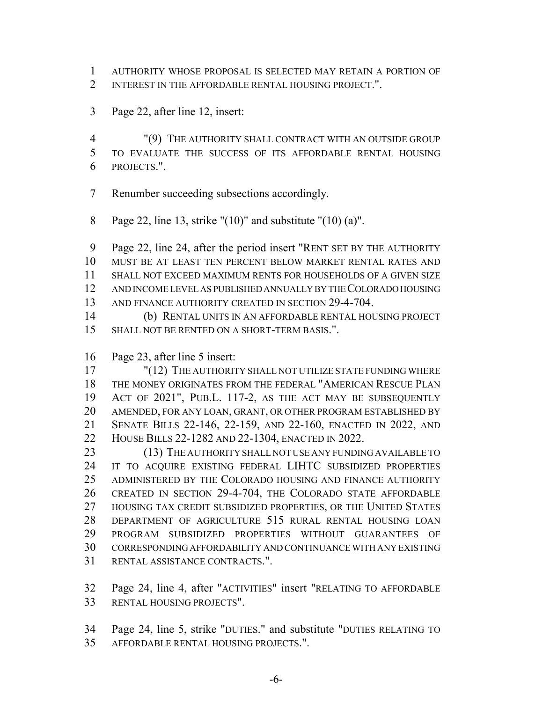AUTHORITY WHOSE PROPOSAL IS SELECTED MAY RETAIN A PORTION OF 2 INTEREST IN THE AFFORDABLE RENTAL HOUSING PROJECT.".

Page 22, after line 12, insert:

4 "(9) THE AUTHORITY SHALL CONTRACT WITH AN OUTSIDE GROUP TO EVALUATE THE SUCCESS OF ITS AFFORDABLE RENTAL HOUSING PROJECTS.".

Renumber succeeding subsections accordingly.

Page 22, line 13, strike "(10)" and substitute "(10) (a)".

 Page 22, line 24, after the period insert "RENT SET BY THE AUTHORITY MUST BE AT LEAST TEN PERCENT BELOW MARKET RENTAL RATES AND SHALL NOT EXCEED MAXIMUM RENTS FOR HOUSEHOLDS OF A GIVEN SIZE AND INCOME LEVEL AS PUBLISHED ANNUALLY BY THE COLORADO HOUSING AND FINANCE AUTHORITY CREATED IN SECTION 29-4-704.

 (b) RENTAL UNITS IN AN AFFORDABLE RENTAL HOUSING PROJECT SHALL NOT BE RENTED ON A SHORT-TERM BASIS.".

Page 23, after line 5 insert:

 "(12) THE AUTHORITY SHALL NOT UTILIZE STATE FUNDING WHERE THE MONEY ORIGINATES FROM THE FEDERAL "AMERICAN RESCUE PLAN ACT OF 2021", PUB.L. 117-2, AS THE ACT MAY BE SUBSEQUENTLY AMENDED, FOR ANY LOAN, GRANT, OR OTHER PROGRAM ESTABLISHED BY SENATE BILLS 22-146, 22-159, AND 22-160, ENACTED IN 2022, AND HOUSE BILLS 22-1282 AND 22-1304, ENACTED IN 2022.

23 (13) THE AUTHORITY SHALL NOT USE ANY FUNDING AVAILABLE TO IT TO ACQUIRE EXISTING FEDERAL LIHTC SUBSIDIZED PROPERTIES ADMINISTERED BY THE COLORADO HOUSING AND FINANCE AUTHORITY CREATED IN SECTION 29-4-704, THE COLORADO STATE AFFORDABLE 27 HOUSING TAX CREDIT SUBSIDIZED PROPERTIES, OR THE UNITED STATES DEPARTMENT OF AGRICULTURE 515 RURAL RENTAL HOUSING LOAN PROGRAM SUBSIDIZED PROPERTIES WITHOUT GUARANTEES OF CORRESPONDING AFFORDABILITY AND CONTINUANCE WITH ANY EXISTING RENTAL ASSISTANCE CONTRACTS.".

 Page 24, line 4, after "ACTIVITIES" insert "RELATING TO AFFORDABLE RENTAL HOUSING PROJECTS".

 Page 24, line 5, strike "DUTIES." and substitute "DUTIES RELATING TO AFFORDABLE RENTAL HOUSING PROJECTS.".